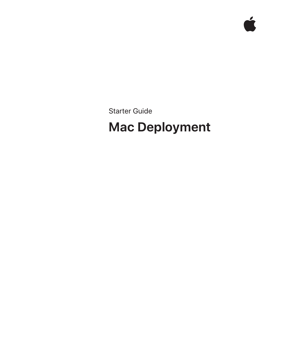Starter Guide

# **Mac Deployment**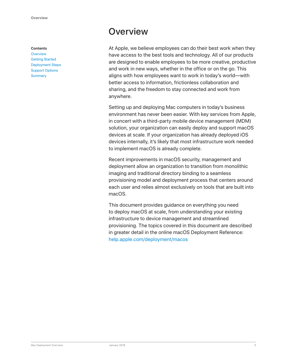#### **Contents**

**Overview** Getting Started Deployment Steps Support Options **Summary** 

## **Overview**

At Apple, we believe employees can do their best work when they have access to the best tools and technology. All of our products are designed to enable employees to be more creative, productive and work in new ways, whether in the office or on the go. This aligns with how employees want to work in today's world—with better access to information, frictionless collaboration and sharing, and the freedom to stay connected and work from anywhere.

Setting up and deploying Mac computers in today's business environment has never been easier. With key services from Apple, in concert with a third-party mobile device management (MDM) solution, your organization can easily deploy and support macOS devices at scale. If your organization has already deployed iOS devices internally, it's likely that most infrastructure work needed to implement macOS is already complete.

Recent improvements in macOS security, management and deployment allow an organization to transition from monolithic imaging and traditional directory binding to a seamless provisioning model and deployment process that centers around each user and relies almost exclusively on tools that are built into macOS.

This document provides guidance on everything you need to deploy macOS at scale, from understanding your existing infrastructure to device management and streamlined provisioning. The topics covered in this document are described in greater detail in the online macOS Deployment Reference: help.apple.com/deployment/macos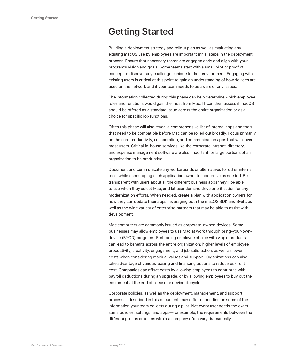## Getting Started

Building a deployment strategy and rollout plan as well as evaluating any existing macOS use by employees are important initial steps in the deployment process. Ensure that necessary teams are engaged early and align with your program's vision and goals. Some teams start with a small pilot or proof of concept to discover any challenges unique to their environment. Engaging with existing users is critical at this point to gain an understanding of how devices are used on the network and if your team needs to be aware of any issues.

The information collected during this phase can help determine which employee roles and functions would gain the most from Mac. IT can then assess if macOS should be offered as a standard issue across the entire organization or as a choice for specific job functions.

Often this phase will also reveal a comprehensive list of internal apps and tools that need to be compatible before Mac can be rolled out broadly. Focus primarily on the core productivity, collaboration, and communication apps that will cover most users. Critical in-house services like the corporate intranet, directory, and expense management software are also important for large portions of an organization to be productive.

Document and communicate any workarounds or alternatives for other internal tools while encouraging each application owner to modernize as needed. Be transparent with users about all the different business apps they'll be able to use when they select Mac, and let user demand drive prioritization for any modernization efforts. When needed, create a plan with application owners for how they can update their apps, leveraging both the macOS SDK and Swift, as well as the wide variety of enterprise partners that may be able to assist with development.

Mac computers are commonly issued as corporate-owned devices. Some businesses may allow employees to use Mac at work through bring-your-owndevice (BYOD) programs. Embracing employee choice with Apple products can lead to benefits across the entire organization: higher levels of employee productivity, creativity, engagement, and job satisfaction, as well as lower costs when considering residual values and support. Organizations can also take advantage of various leasing and financing options to reduce up-front cost. Companies can offset costs by allowing employees to contribute with payroll deductions during an upgrade, or by allowing employees to buy out the equipment at the end of a lease or device lifecycle.

Corporate policies, as well as the deployment, management, and support processes described in this document, may differ depending on some of the information your team collects during a pilot. Not every user needs the exact same policies, settings, and apps—for example, the requirements between the different groups or teams within a company often vary dramatically.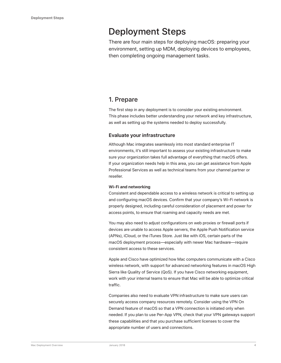## Deployment Steps

There are four main steps for deploying macOS: preparing your environment, setting up MDM, deploying devices to employees, then completing ongoing management tasks.

### 1. Prepare

The first step in any deployment is to consider your existing environment. This phase includes better understanding your network and key infrastructure, as well as setting up the systems needed to deploy successfully.

### **Evaluate your infrastructure**

Although Mac integrates seamlessly into most standard enterprise IT environments, it's still important to assess your existing infrastructure to make sure your organization takes full advantage of everything that macOS offers. If your organization needs help in this area, you can get assistance from Apple Professional Services as well as technical teams from your channel partner or reseller.

### **Wi-Fi and networking**

Consistent and dependable access to a wireless network is critical to setting up and configuring macOS devices. Confirm that your company's Wi-Fi network is properly designed, including careful consideration of placement and power for access points, to ensure that roaming and capacity needs are met.

You may also need to adjust configurations on web proxies or firewall ports if devices are unable to access Apple servers, the Apple Push Notification service (APNs), iCloud, or the iTunes Store. Just like with iOS, certain parts of the macOS deployment process—especially with newer Mac hardware—require consistent access to these services.

Apple and Cisco have optimized how Mac computers communicate with a Cisco wireless network, with support for advanced networking features in macOS High Sierra like Quality of Service (QoS). If you have Cisco networking equipment, work with your internal teams to ensure that Mac will be able to optimize critical traffic.

Companies also need to evaluate VPN infrastructure to make sure users can securely access company resources remotely. Consider using the VPN On Demand feature of macOS so that a VPN connection is initiated only when needed. If you plan to use Per-App VPN, check that your VPN gateways support these capabilities and that you purchase sufficient licenses to cover the appropriate number of users and connections.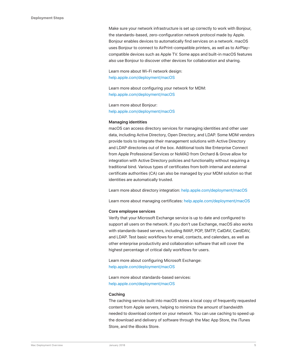Make sure your network infrastructure is set up correctly to work with Bonjour, the standards-based, zero-configuration network protocol made by Apple. Bonjour enables devices to automatically find services on a network. macOS uses Bonjour to connect to AirPrint-compatible printers, as well as to AirPlaycompatible devices such as Apple TV. Some apps and built-in macOS features also use Bonjour to discover other devices for collaboration and sharing.

Learn more about Wi-Fi network design: help.apple.com/deployment/macOS

Learn more about configuring your network for MDM: help.apple.com/deployment/macOS

Learn more about Bonjour: help.apple.com/deployment/macOS

#### **Managing identities**

macOS can access directory services for managing identities and other user data, including Active Directory, Open Directory, and LDAP. Some MDM vendors provide tools to integrate their management solutions with Active Directory and LDAP directories out of the box. Additional tools like Enterprise Connect from Apple Professional Services or NoMAD from Orchard & Grove allow for integration with Active Directory policies and functionality without requiring a traditional bind. Various types of certificates from both internal and external certificate authorities (CA) can also be managed by your MDM solution so that identities are automatically trusted.

Learn more about directory integration: help.apple.com/deployment/macOS

Learn more about managing certificates: help.apple.com/deployment/macOS

#### **Core employee services**

Verify that your Microsoft Exchange service is up to date and configured to support all users on the network. If you don't use Exchange, macOS also works with standards-based servers, including IMAP, POP, SMTP, CalDAV, CardDAV, and LDAP. Test basic workflows for email, contacts, and calendars, as well as other enterprise productivity and collaboration software that will cover the highest percentage of critical daily workflows for users.

Learn more about configuring Microsoft Exchange: help.apple.com/deployment/macOS

Learn more about standards-based services: help.apple.com/deployment/macOS

#### **Caching**

The caching service built into macOS stores a local copy of frequently requested content from Apple servers, helping to minimize the amount of bandwidth needed to download content on your network. You can use caching to speed up the download and delivery of software through the Mac App Store, the iTunes Store, and the iBooks Store.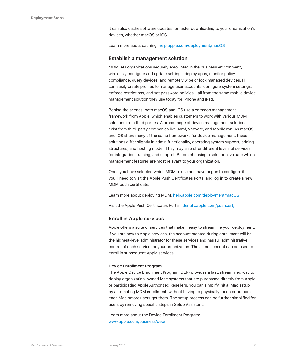It can also cache software updates for faster downloading to your organization's devices, whether macOS or iOS.

Learn more about caching: help.apple.com/deployment/macOS

### **Establish a management solution**

MDM lets organizations securely enroll Mac in the business environment, wirelessly configure and update settings, deploy apps, monitor policy compliance, query devices, and remotely wipe or lock managed devices. IT can easily create profiles to manage user accounts, configure system settings, enforce restrictions, and set password policies—all from the same mobile device management solution they use today for iPhone and iPad.

Behind the scenes, both macOS and iOS use a common management framework from Apple, which enables customers to work with various MDM solutions from third parties. A broad range of device management solutions exist from third-party companies like Jamf, VMware, and MobileIron. As macOS and iOS share many of the same frameworks for device management, these solutions differ slightly in admin functionality, operating system support, pricing structures, and hosting model. They may also offer different levels of services for integration, training, and support. Before choosing a solution, evaluate which management features are most relevant to your organization.

Once you have selected which MDM to use and have begun to configure it, you'll need to visit the Apple Push Certificates Portal and log in to create a new MDM push certificate.

Learn more about deploying MDM: help.apple.com/deployment/macOS

Visit the Apple Push Certificates Portal: identity.apple.com/pushcert/

### **Enroll in Apple services**

Apple offers a suite of services that make it easy to streamline your deployment. If you are new to Apple services, the account created during enrollment will be the highest-level administrator for these services and has full administrative control of each service for your organization. The same account can be used to enroll in subsequent Apple services.

#### **Device Enrollment Program**

The Apple Device Enrollment Program (DEP) provides a fast, streamlined way to deploy organization-owned Mac systems that are purchased directly from Apple or participating Apple Authorized Resellers. You can simplify initial Mac setup by automating MDM enrollment, without having to physically touch or prepare each Mac before users get them. The setup process can be further simplified for users by removing specific steps in Setup Assistant.

Learn more about the Device Enrollment Program: www.apple.com/business/dep/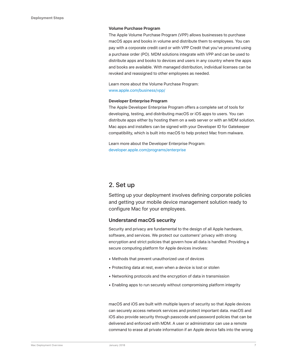### **Volume Purchase Program**

The Apple Volume Purchase Program (VPP) allows businesses to purchase macOS apps and books in volume and distribute them to employees. You can pay with a corporate credit card or with VPP Credit that you've procured using a purchase order (PO). MDM solutions integrate with VPP and can be used to distribute apps and books to devices and users in any country where the apps and books are available. With managed distribution, individual licenses can be revoked and reassigned to other employees as needed.

Learn more about the Volume Purchase Program: www.apple.com/business/vpp/

### **Developer Enterprise Program**

The Apple Developer Enterprise Program offers a complete set of tools for developing, testing, and distributing macOS or iOS apps to users. You can distribute apps either by hosting them on a web server or with an MDM solution. Mac apps and installers can be signed with your Developer ID for Gatekeeper compatibility, which is built into macOS to help protect Mac from malware.

Learn more about the Developer Enterprise Program: developer.apple.com/programs/enterprise

### 2. Set up

Setting up your deployment involves defining corporate policies and getting your mobile device management solution ready to configure Mac for your employees.

### **Understand macOS security**

Security and privacy are fundamental to the design of all Apple hardware, software, and services. We protect our customers' privacy with strong encryption and strict policies that govern how all data is handled. Providing a secure computing platform for Apple devices involves:

- Methods that prevent unauthorized use of devices
- Protecting data at rest, even when a device is lost or stolen
- Networking protocols and the encryption of data in transmission
- Enabling apps to run securely without compromising platform integrity

macOS and iOS are built with multiple layers of security so that Apple devices can securely access network services and protect important data. macOS and iOS also provide security through passcode and password policies that can be delivered and enforced with MDM. A user or administrator can use a remote command to erase all private information if an Apple device falls into the wrong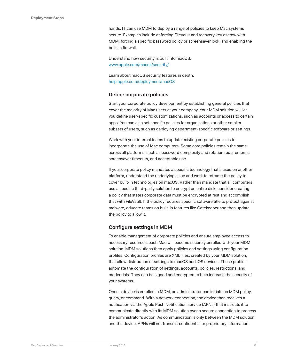hands. IT can use MDM to deploy a range of policies to keep Mac systems secure. Examples include enforcing FileVault and recovery key escrow with MDM, forcing a specific password policy or screensaver lock, and enabling the built-in firewall.

Understand how security is built into macOS: www.apple.com/macos/security/

Learn about macOS security features in depth: help.apple.com/deployment/macOS

### **Define corporate policies**

Start your corporate policy development by establishing general policies that cover the majority of Mac users at your company. Your MDM solution will let you define user-specific customizations, such as accounts or access to certain apps. You can also set specific policies for organizations or other smaller subsets of users, such as deploying department-specific software or settings.

Work with your internal teams to update existing corporate policies to incorporate the use of Mac computers. Some core policies remain the same across all platforms, such as password complexity and rotation requirements, screensaver timeouts, and acceptable use.

If your corporate policy mandates a specific technology that's used on another platform, understand the underlying issue and work to reframe the policy to cover built-in technologies on macOS. Rather than mandate that all computers use a specific third-party solution to encrypt an entire disk, consider creating a policy that states corporate data must be encrypted at rest and accomplish that with FileVault. If the policy requires specific software title to protect against malware, educate teams on built-in features like Gatekeeper and then update the policy to allow it.

### **Configure settings in MDM**

To enable management of corporate policies and ensure employee access to necessary resources, each Mac will become securely enrolled with your MDM solution. MDM solutions then apply policies and settings using configuration profiles. Configuration profiles are XML files, created by your MDM solution, that allow distribution of settings to macOS and iOS devices. These profiles automate the configuration of settings, accounts, policies, restrictions, and credentials. They can be signed and encrypted to help increase the security of your systems.

Once a device is enrolled in MDM, an administrator can initiate an MDM policy, query, or command. With a network connection, the device then receives a notification via the Apple Push Notification service (APNs) that instructs it to communicate directly with its MDM solution over a secure connection to process the administrator's action. As communication is only between the MDM solution and the device, APNs will not transmit confidential or proprietary information.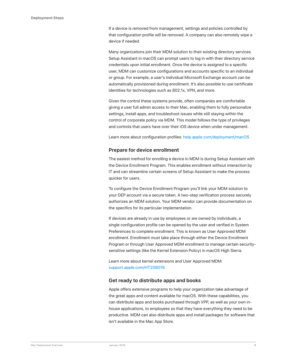If a device is removed from management, settings and policies controlled by that configuration profile will be removed. A company can also remotely wipe a device if needed.

Many organizations join their MDM solution to their existing directory services. Setup Assistant in macOS can prompt users to log in with their directory service credentials upon initial enrollment. Once the device is assigned to a specific user, MDM can customize configurations and accounts specific to an individual or group. For example, a user's individual Microsoft Exchange account can be automatically provisioned during enrollment. It's also possible to use certificate identities for technologies such as 802.1x, VPN, and more.

Given the control these systems provide, often companies are comfortable giving a user full admin access to their Mac, enabling them to fully personalize settings, install apps, and troubleshoot issues while still staying within the control of corporate policy via MDM. This model follows the type of privileges and controls that users have over their iOS device when under management.

Learn more about configuration profiles: help.apple.com/deployment/macOS

### **Prepare for device enrollment**

The easiest method for enrolling a device in MDM is during Setup Assistant with the Device Enrollment Program. This enables enrollment without interaction by IT and can streamline certain screens of Setup Assistant to make the process quicker for users.

To configure the Device Enrollment Program you'll link your MDM solution to your DEP account via a secure token. A two-step verification process securely authorizes an MDM solution. Your MDM vendor can provide documentation on the specifics for its particular implementation.

If devices are already in use by employees or are owned by individuals, a single configuration profile can be opened by the user and verified in System Preferences to complete enrollment. This is known as User Approved MDM enrollment. Enrollment must take place through either the Device Enrollment Program or through User Approved MDM enrollment to manage certain securitysensitive settings (like the Kernel Extension Policy) in macOS High Sierra.

Learn more about kernel extensions and User Approved MDM: support.apple.com/HT208019

### **Get ready to distribute apps and books**

Apple offers extensive programs to help your organization take advantage of the great apps and content available for macOS. With these capabilities, you can distribute apps and books purchased through VPP, as well as your own inhouse applications, to employees so that they have everything they need to be productive. MDM can also distribute apps and install packages for software that isn't available in the Mac App Store.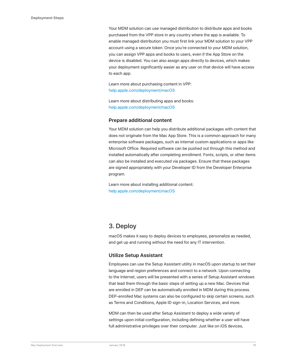Your MDM solution can use managed distribution to distribute apps and books purchased from the VPP store in any country where the app is available. To enable managed distribution you must first link your MDM solution to your VPP account using a secure token. Once you're connected to your MDM solution, you can assign VPP apps and books to users, even if the App Store on the device is disabled. You can also assign apps directly to devices, which makes your deployment significantly easier as any user on that device will have access to each app.

Learn more about purchasing content in VPP: help.apple.com/deployment/macOS

Learn more about distributing apps and books: help.apple.com/deployment/macOS

### **Prepare additional content**

Your MDM solution can help you distribute additional packages with content that does not originate from the Mac App Store. This is a common approach for many enterprise software packages, such as internal custom applications or apps like Microsoft Office. Required software can be pushed out through this method and installed automatically after completing enrollment. Fonts, scripts, or other items can also be installed and executed via packages. Ensure that these packages are signed appropriately with your Developer ID from the Developer Enterprise program.

Learn more about installing additional content: help.apple.com/deployment/macOS

### 3. Deploy

macOS makes it easy to deploy devices to employees, personalize as needed, and get up and running without the need for any IT intervention.

### **Utilize Setup Assistant**

Employees can use the Setup Assistant utility in macOS upon startup to set their language and region preferences and connect to a network. Upon connecting to the Internet, users will be presented with a series of Setup Assistant windows that lead them through the basic steps of setting up a new Mac. Devices that are enrolled in DEP can be automatically enrolled in MDM during this process. DEP-enrolled Mac systems can also be configured to skip certain screens, such as Terms and Conditions, Apple ID sign-in, Location Services, and more.

MDM can then be used after Setup Assistant to deploy a wide variety of settings upon initial configuration, including defining whether a user will have full administrative privileges over their computer. Just like on iOS devices,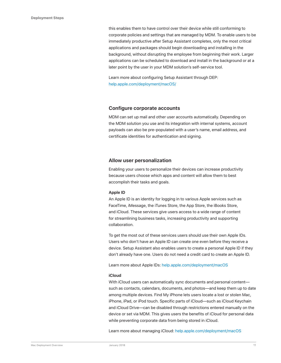this enables them to have control over their device while still conforming to corporate policies and settings that are managed by MDM. To enable users to be immediately productive after Setup Assistant completes, only the most critical applications and packages should begin downloading and installing in the background, without disrupting the employee from beginning their work. Larger applications can be scheduled to download and install in the background or at a later point by the user in your MDM solution's self-service tool.

Learn more about configuring Setup Assistant through DEP: help.apple.com/deployment/macOS/

### **Configure corporate accounts**

MDM can set up mail and other user accounts automatically. Depending on the MDM solution you use and its integration with internal systems, account payloads can also be pre-populated with a user's name, email address, and certificate identities for authentication and signing.

### **Allow user personalization**

Enabling your users to personalize their devices can increase productivity because users choose which apps and content will allow them to best accomplish their tasks and goals.

#### **Apple ID**

An Apple ID is an identity for logging in to various Apple services such as FaceTime, iMessage, the iTunes Store, the App Store, the iBooks Store, and iCloud. These services give users access to a wide range of content for streamlining business tasks, increasing productivity and supporting collaboration.

To get the most out of these services users should use their own Apple IDs. Users who don't have an Apple ID can create one even before they receive a device. Setup Assistant also enables users to create a personal Apple ID if they don't already have one. Users do not need a credit card to create an Apple ID.

Learn more about Apple IDs: help.apple.com/deployment/macOS

#### **iCloud**

With iCloud users can automatically sync documents and personal content such as contacts, calendars, documents, and photos—and keep them up to date among multiple devices. Find My iPhone lets users locate a lost or stolen Mac, iPhone, iPad, or iPod touch. Specific parts of iCloud—such as iCloud Keychain and iCloud Drive—can be disabled through restrictions entered manually on the device or set via MDM. This gives users the benefits of iCloud for personal data while preventing corporate data from being stored in iCloud.

Learn more about managing iCloud: help.apple.com/deployment/macOS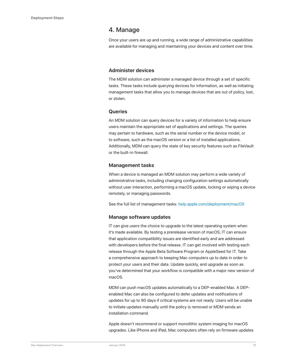### 4. Manage

Once your users are up and running, a wide range of administrative capabilities are available for managing and maintaining your devices and content over time.

### **Administer devices**

The MDM solution can administer a managed device through a set of specific tasks. These tasks include querying devices for information, as well as initiating management tasks that allow you to manage devices that are out of policy, lost, or stolen.

### **Queries**

An MDM solution can query devices for a variety of information to help ensure users maintain the appropriate set of applications and settings. The queries may pertain to hardware, such as the serial number or the device model, or to software, such as the macOS version or a list of installed applications. Additionally, MDM can query the state of key security features such as FileVault or the built-in firewall.

### **Management tasks**

When a device is managed an MDM solution may perform a wide variety of administrative tasks, including changing configuration settings automatically without user interaction, performing a macOS update, locking or wiping a device remotely, or managing passwords.

See the full list of management tasks: help.apple.com/deployment/macOS

### **Manage software updates**

IT can give users the choice to upgrade to the latest operating system when it's made available. By testing a prerelease version of macOS, IT can ensure that application compatibility issues are identified early and are addressed with developers before the final release. IT can get involved with testing each release through the Apple Beta Software Program or AppleSeed for IT. Take a comprehensive approach to keeping Mac computers up to date in order to protect your users and their data. Update quickly, and upgrade as soon as you've determined that your workflow is compatible with a major new version of macOS.

MDM can push macOS updates automatically to a DEP-enabled Mac. A DEPenabled Mac can also be configured to defer updates and notifications of updates for up to 90 days if critical systems are not ready. Users will be unable to initiate updates manually until the policy is removed or MDM sends an installation command.

Apple doesn't recommend or support monolithic system imaging for macOS upgrades. Like iPhone and iPad, Mac computers often rely on firmware updates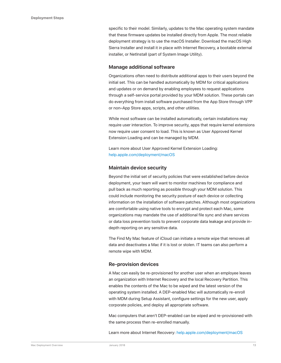specific to their model. Similarly, updates to the Mac operating system mandate that these firmware updates be installed directly from Apple. The most reliable deployment strategy is to use the macOS Installer. Download the macOS High Sierra Installer and install it in place with Internet Recovery, a bootable external installer, or NetInstall (part of System Image Utility).

### **Manage additional software**

Organizations often need to distribute additional apps to their users beyond the initial set. This can be handled automatically by MDM for critical applications and updates or on demand by enabling employees to request applications through a self-service portal provided by your MDM solution. These portals can do everything from install software purchased from the App Store through VPP or non–App Store apps, scripts, and other utilities.

While most software can be installed automatically, certain installations may require user interaction. To improve security, apps that require kernel extensions now require user consent to load. This is known as User Approved Kernel Extension Loading and can be managed by MDM.

Learn more about User Approved Kernel Extension Loading: help.apple.com/deployment/macOS

### **Maintain device security**

Beyond the initial set of security policies that were established before device deployment, your team will want to monitor machines for compliance and pull back as much reporting as possible through your MDM solution. This could include monitoring the security posture of each device or collecting information on the installation of software patches. Although most organizations are comfortable using native tools to encrypt and protect each Mac, some organizations may mandate the use of additional file sync and share services or data loss prevention tools to prevent corporate data leakage and provide indepth reporting on any sensitive data.

The Find My Mac feature of iCloud can initiate a remote wipe that removes all data and deactivates a Mac if it is lost or stolen. IT teams can also perform a remote wipe with MDM.

### **Re-provision devices**

A Mac can easily be re-provisioned for another user when an employee leaves an organization with Internet Recovery and the local Recovery Partition. This enables the contents of the Mac to be wiped and the latest version of the operating system installed. A DEP-enabled Mac will automatically re-enroll with MDM during Setup Assistant, configure settings for the new user, apply corporate policies, and deploy all appropriate software.

Mac computers that aren't DEP-enabled can be wiped and re-provisioned with the same process then re-enrolled manually.

Learn more about Internet Recovery: help.apple.com/deployment/macOS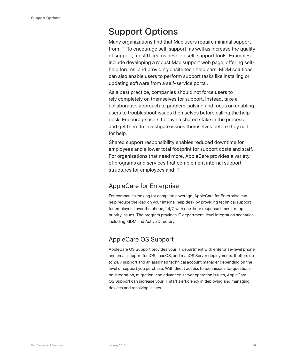## Support Options

Many organizations find that Mac users require minimal support from IT. To encourage self-support, as well as increase the quality of support, most IT teams develop self-support tools. Examples include developing a robust Mac support web page, offering selfhelp forums, and providing onsite tech help bars. MDM solutions can also enable users to perform support tasks like installing or updating software from a self-service portal.

As a best practice, companies should not force users to rely completely on themselves for support. Instead, take a collaborative approach to problem-solving and focus on enabling users to troubleshoot issues themselves before calling the help desk. Encourage users to have a shared stake in the process and get them to investigate issues themselves before they call for help.

Shared support responsibility enables reduced downtime for employees and a lower total footprint for support costs and staff. For organizations that need more, AppleCare provides a variety of programs and services that complement internal support structures for employees and IT.

### AppleCare for Enterprise

For companies looking for complete coverage, AppleCare for Enterprise can help reduce the load on your internal help desk by providing technical support for employees over the phone, 24/7, with one-hour response times for toppriority issues. The program provides IT department–level integration scenarios, including MDM and Active Directory.

### AppleCare OS Support

AppleCare OS Support provides your IT department with enterprise-level phone and email support for iOS, macOS, and macOS Server deployments. It offers up to 24/7 support and an assigned technical account manager depending on the level of support you purchase. With direct access to technicians for questions on integration, migration, and advanced server operation issues, AppleCare OS Support can increase your IT staff's efficiency in deploying and managing devices and resolving issues.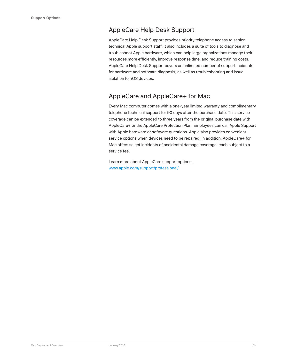### AppleCare Help Desk Support

AppleCare Help Desk Support provides priority telephone access to senior technical Apple support staff. It also includes a suite of tools to diagnose and troubleshoot Apple hardware, which can help large organizations manage their resources more efficiently, improve response time, and reduce training costs. AppleCare Help Desk Support covers an unlimited number of support incidents for hardware and software diagnosis, as well as troubleshooting and issue isolation for iOS devices.

### AppleCare and AppleCare+ for Mac

Every Mac computer comes with a one-year limited warranty and complimentary telephone technical support for 90 days after the purchase date. This service coverage can be extended to three years from the original purchase date with AppleCare+ or the AppleCare Protection Plan. Employees can call Apple Support with Apple hardware or software questions. Apple also provides convenient service options when devices need to be repaired. In addition, AppleCare+ for Mac offers select incidents of accidental damage coverage, each subject to a service fee.

Learn more about AppleCare support options: www.apple.com/support/professional/